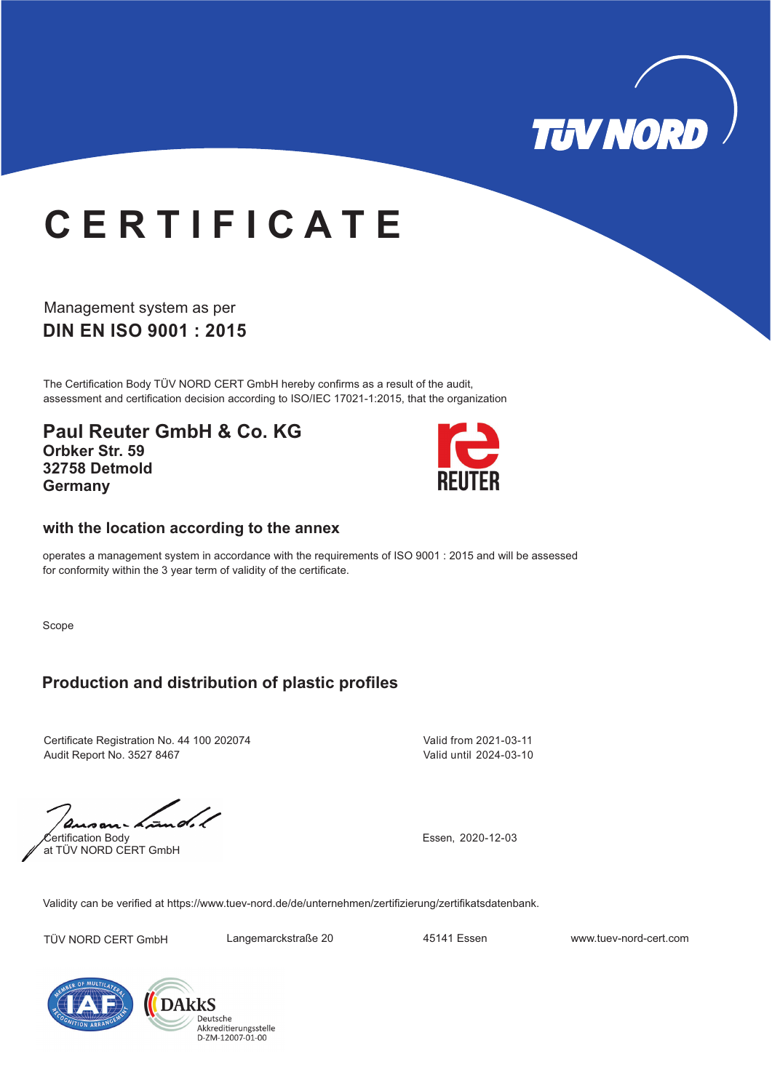

## **C E R T I F I C A T E**

**DIN EN ISO 9001 : 2015** Management system as per

The Certification Body TÜV NORD CERT GmbH hereby confirms as a result of the audit, assessment and certification decision according to ISO/IEC 17021-1:2015, that the organization

**Paul Reuter GmbH & Co. KG Orbker Str. 59 32758 Detmold Germany**



## **with the location according to the annex**

operates a management system in accordance with the requirements of ISO 9001 : 2015 and will be assessed for conformity within the 3 year term of validity of the certificate.

Scope

## **Production and distribution of plastic profiles**

Certificate Registration No. 44 100 202074 Audit Report No. 3527 8467

Valid from 2021-03-11 Valid until 2024-03-10

Certification Body at TÜV NORD CERT GmbH

Essen, 2020-12-03

Validity can be verified at https://www.tuev-nord.de/de/unternehmen/zertifizierung/zertifikatsdatenbank.

TÜV NORD CERT GmbH Langemarckstraße 20 45141 Essen www.tuev-nord-cert.com